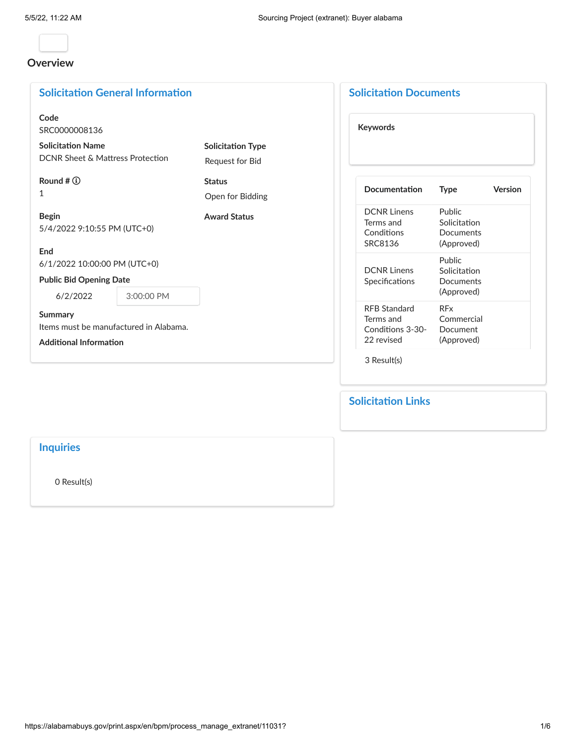# **Overview**

|                                                                                                                                                                                                                                                                                                                                                                                            |                                         | Sourcing Project (extranet): Buyer alabama                                          |  |  |  |
|--------------------------------------------------------------------------------------------------------------------------------------------------------------------------------------------------------------------------------------------------------------------------------------------------------------------------------------------------------------------------------------------|-----------------------------------------|-------------------------------------------------------------------------------------|--|--|--|
|                                                                                                                                                                                                                                                                                                                                                                                            |                                         |                                                                                     |  |  |  |
|                                                                                                                                                                                                                                                                                                                                                                                            |                                         | <b>Solicitation Documents</b>                                                       |  |  |  |
| $\sim$                                                                                                                                                                                                                                                                                                                                                                                     | <b>Solicitation Type</b>                | Keywords                                                                            |  |  |  |
|                                                                                                                                                                                                                                                                                                                                                                                            | Request for Bid<br><b>Status</b>        |                                                                                     |  |  |  |
|                                                                                                                                                                                                                                                                                                                                                                                            | Open for Bidding<br><b>Award Status</b> | Version<br><b>Type</b><br>Documentation<br><b>DCNR Linens</b><br>Public             |  |  |  |
|                                                                                                                                                                                                                                                                                                                                                                                            |                                         | Solicitation<br>Terms and<br>Conditions<br>Documents<br>SRC8136<br>(Approved)       |  |  |  |
|                                                                                                                                                                                                                                                                                                                                                                                            |                                         | Public<br><b>DCNR Linens</b><br>Solicitation<br>Specifications<br>Documents         |  |  |  |
| 3:00:00 PM<br>6/2/2022                                                                                                                                                                                                                                                                                                                                                                     |                                         | (Approved)<br>RFB Standard<br><b>RFx</b>                                            |  |  |  |
| $\mathbf{1}$                                                                                                                                                                                                                                                                                                                                                                               |                                         | Commercial<br>Terms and<br>Conditions 3-30-<br>Document<br>22 revised<br>(Approved) |  |  |  |
|                                                                                                                                                                                                                                                                                                                                                                                            |                                         | 3 Result(s)                                                                         |  |  |  |
| $5/22, 11:22$ AM<br><b>verview</b><br><b>Solicitation General Information</b><br>Code<br>SRC0000008136<br><b>Solicitation Name</b><br>DCNR Sheet & Mattress Protection<br>Round # ①<br>Begin<br>5/4/2022 9:10:55 PM (UTC+0)<br>End<br>6/1/2022 10:00:00 PM (UTC+0)<br><b>Public Bid Opening Date</b><br>Summary<br>Items must be manufactured in Alabama.<br><b>Additional Information</b> |                                         | <b>Solicitation Links</b>                                                           |  |  |  |
| <b>Inquiries</b>                                                                                                                                                                                                                                                                                                                                                                           |                                         |                                                                                     |  |  |  |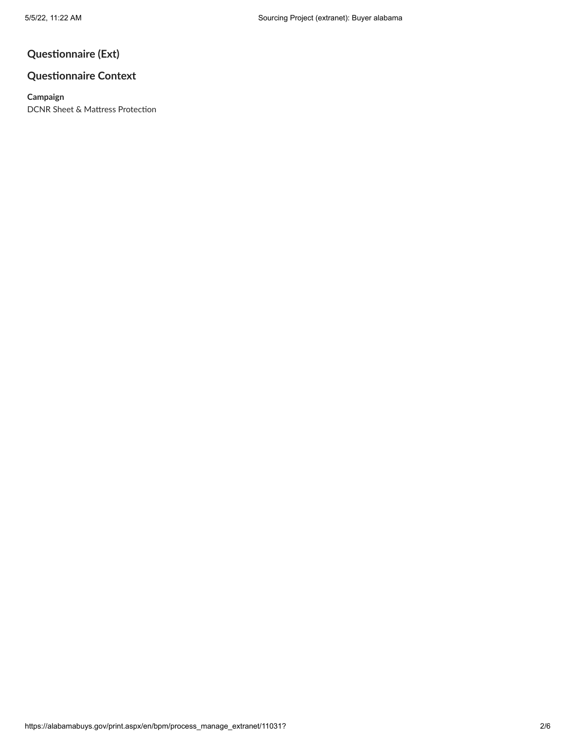# **Questionnaire (Ext)**

# **Questionnaire (Ext)**<br>Questionnaire Cont<br>Campaign<br>DCNR Sheet & Mattress F **Questionnaire Context Campaign** DCNR Sheet & Mattress Protection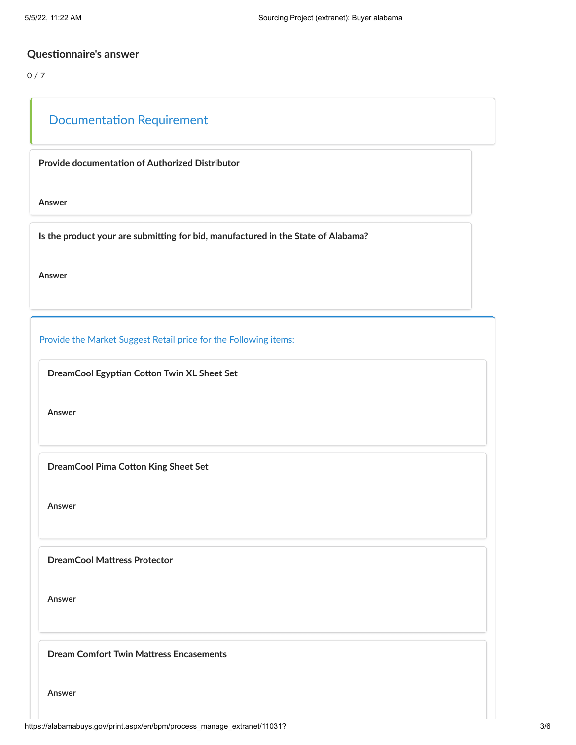$0/7$ 

# Questionnaire's answer<br>
0/7<br>
Documentation P<br>
Provide documentation o<br>
Answer<br>
Is the product your are su<br>
Answer<br>
Provide the Market Sugge<br>
DreamCool Egyptian Co<br>
Answer<br>
DreamCool Pima Cotto<br>
Answer<br>
DreamCool Pima Cotto

**Provide documentation of Authorized Distributor**

**Answer**

Documentation Requirement<br>
ovide documentation of Authorized Distributor<br>
swer<br>
the product your are submitting for bid, manufactured in the State of Alabama<br>
swer<br>
ovide the Market Suggest Retail price for the Following i **Is the product your are submitting for bid, manufactured in the State of Alabama? Example 11:22 AM**<br> **Documentation Requirement**<br> **Documentation Requirement**<br> **Cooloumentation of Authorized Distributor<br>
<br>
<b>Example 2014**<br> **Cooloumentation of Authorized Distributor<br>
<br>
<b>Example 2014**<br> **Cooloumentation of** Example 1:22 AM<br> **Documentation Requirement**<br> **Documentation Requirement**<br> **Documentation of Authorized Distributor**<br> **Example 2:**<br> **Cool Cool Cool Cool Cool Cool Cool Cool Cool Cool Cool Cool Cool Sourcing Project (extranet)**<br> **Documentation Requirement**<br> **Documentation of Authorized Distributor**<br> **ReamCool documentation of Authorized Distributor**<br> **ReamCool type are submitting for bid, manufactured in the State of Probes the Same Scheme Scheme Scheme Scheme Scheme Scheme Scheme Scheme Scheme Scheme Scheme Scheme Scheme Scheme Scheme Scheme Scheme Scheme Scheme Scheme Scheme Scheme Scheme Scheme Scheme Scheme Scheme Scheme Scheme Sc** 

**Answer**

Provide the Market Suggest Retail price for the Following items:

**Answer**

**Answer**

**DreamCool Mattress Protector** 

**Answer**

**Dream Comfort Twin Mattress Encasements** 

**Answer**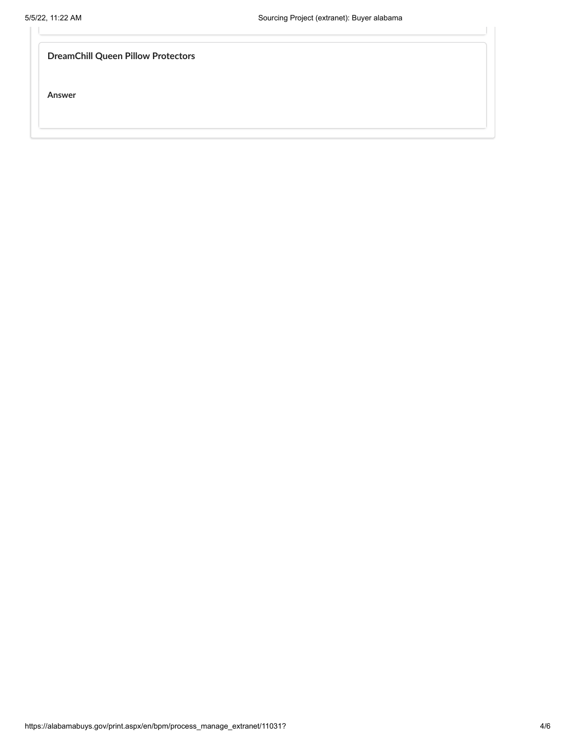**DreamChill Queen Pillow Protectors**

**Answer**